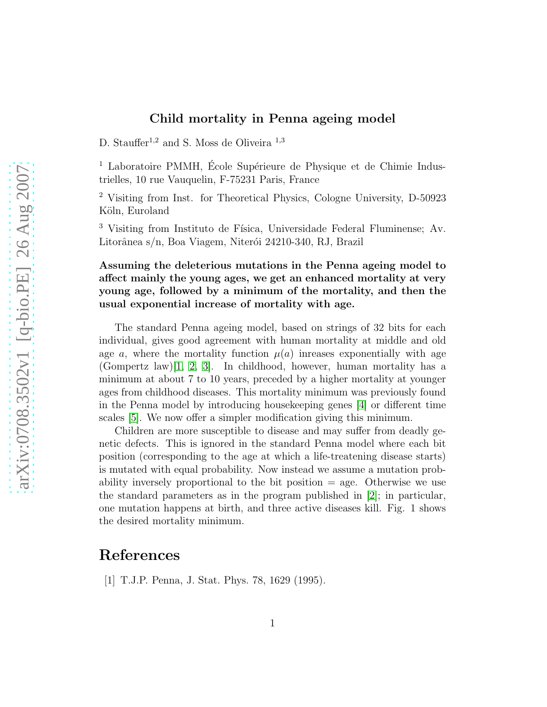## Child mortality in Penna ageing model

D. Stauffer<sup>1,2</sup> and S. Moss de Oliveira<sup>1,3</sup>

 $1$  Laboratoire PMMH, École Supérieure de Physique et de Chimie Industrielles, 10 rue Vauquelin, F-75231 Paris, France

<sup>2</sup> Visiting from Inst. for Theoretical Physics, Cologne University, D-50923 Köln, Euroland

<sup>3</sup> Visiting from Instituto de Física, Universidade Federal Fluminense; Av. Litorânea s/n, Boa Viagem, Niterói 24210-340, RJ, Brazil

Assuming the deleterious mutations in the Penna ageing model to affect mainly the young ages, we get an enhanced mortality at very young age, followed by a minimum of the mortality, and then the usual exponential increase of mortality with age.

The standard Penna ageing model, based on strings of 32 bits for each individual, gives good agreement with human mortality at middle and old age a, where the mortality function  $\mu(a)$  inreases exponentially with age (Gompertz law)[\[1,](#page-0-0) [2,](#page-1-0) [3\]](#page-1-1). In childhood, however, human mortality has a minimum at about 7 to 10 years, preceded by a higher mortality at younger ages from childhood diseases. This mortality minimum was previously found in the Penna model by introducing housekeeping genes [\[4\]](#page-1-2) or different time scales [\[5\]](#page-1-3). We now offer a simpler modification giving this minimum.

Children are more susceptible to disease and may suffer from deadly genetic defects. This is ignored in the standard Penna model where each bit position (corresponding to the age at which a life-treatening disease starts) is mutated with equal probability. Now instead we assume a mutation probability inversely proportional to the bit position = age. Otherwise we use the standard parameters as in the program published in [\[2\]](#page-1-0); in particular, one mutation happens at birth, and three active diseases kill. Fig. 1 shows the desired mortality minimum.

## <span id="page-0-0"></span>References

[1] T.J.P. Penna, J. Stat. Phys. 78, 1629 (1995).